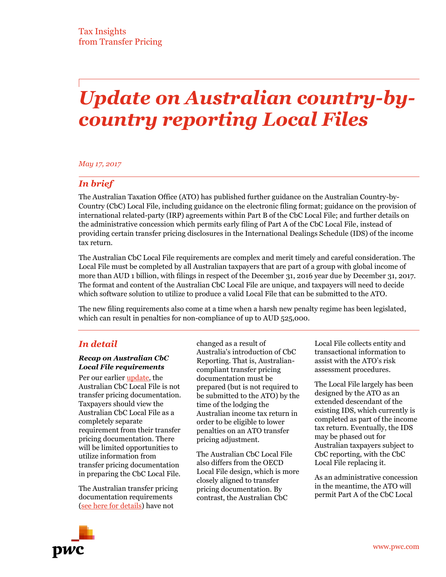# *Update on Australian country-bycountry reporting Local Files*

#### *May 17, 2017*

## *In brief*

The Australian Taxation Office (ATO) has published further guidance on the Australian Country-by-Country (CbC) Local File, including guidance on the electronic filing format; guidance on the provision of international related-party (IRP) agreements within Part B of the CbC Local File; and further details on the administrative concession which permits early filing of Part A of the CbC Local File, instead of providing certain transfer pricing disclosures in the International Dealings Schedule (IDS) of the income tax return.

The Australian CbC Local File requirements are complex and merit timely and careful consideration. The Local File must be completed by all Australian taxpayers that are part of a group with global income of more than AUD 1 billion, with filings in respect of the December 31, 2016 year due by December 31, 2017. The format and content of the Australian CbC Local File are unique, and taxpayers will need to decide which software solution to utilize to produce a valid Local File that can be submitted to the ATO.

The new filing requirements also come at a time when a harsh new penalty regime has been legislated, which can result in penalties for non-compliance of up to AUD 525,000.

### *In detail*

#### *Recap on Australian CbC Local File requirements*

Per our earlier [update](http://www.pwc.com/gx/en/tax/newsletters/pricing-knowledge-network/assets/pwc-tp-Australia-CbCR-implementation.pdf), the Australian CbC Local File is not transfer pricing documentation. Taxpayers should view the Australian CbC Local File as a completely separate requirement from their transfer pricing documentation. There will be limited opportunities to utilize information from transfer pricing documentation in preparing the CbC Local File.

The Australian transfer pricing documentation requirements [\(see here for details\)](http://www.pwc.com/gx/en/tax/newsletters/pricing-knowledge-network/assets/pwc-australia-final-tp-documentation-guidance.pdf) have not

changed as a result of Australia's introduction of CbC Reporting. That is, Australiancompliant transfer pricing documentation must be prepared (but is not required to be submitted to the ATO) by the time of the lodging the Australian income tax return in order to be eligible to lower penalties on an ATO transfer pricing adjustment.

The Australian CbC Local File also differs from the OECD Local File design, which is more closely aligned to transfer pricing documentation. By contrast, the Australian CbC

Local File collects entity and transactional information to assist with the ATO's risk assessment procedures.

The Local File largely has been designed by the ATO as an extended descendant of the existing IDS, which currently is completed as part of the income tax return. Eventually, the IDS may be phased out for Australian taxpayers subject to CbC reporting, with the CbC Local File replacing it.

As an administrative concession in the meantime, the ATO will permit Part A of the CbC Local

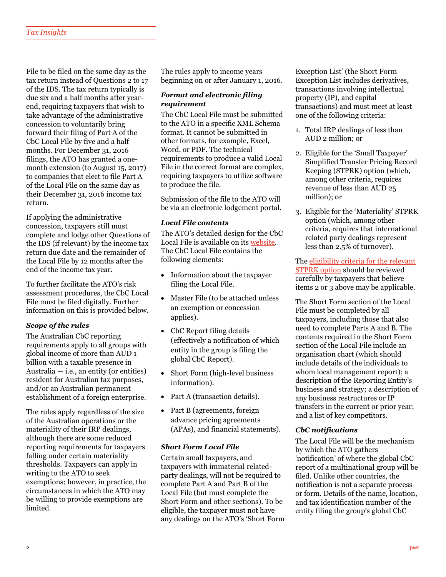File to be filed on the same day as the tax return instead of Questions 2 to 17 of the IDS. The tax return typically is due six and a half months after yearend, requiring taxpayers that wish to take advantage of the administrative concession to voluntarily bring forward their filing of Part A of the CbC Local File by five and a half months. For December 31, 2016 filings, the ATO has granted a onemonth extension (to August 15, 2017) to companies that elect to file Part A of the Local File on the same day as their December 31, 2016 income tax return.

If applying the administrative concession, taxpayers still must complete and lodge other Questions of the IDS (if relevant) by the income tax return due date and the remainder of the Local File by 12 months after the end of the income tax year.

To further facilitate the ATO's risk assessment procedures, the CbC Local File must be filed digitally. Further information on this is provided below.

#### *Scope of the rules*

The Australian CbC reporting requirements apply to all groups with global income of more than AUD 1 billion with a taxable presence in Australia  $-$  i.e., an entity (or entities) resident for Australian tax purposes, and/or an Australian permanent establishment of a foreign enterprise.

The rules apply regardless of the size of the Australian operations or the materiality of their IRP dealings, although there are some reduced reporting requirements for taxpayers falling under certain materiality thresholds. Taxpayers can apply in writing to the ATO to seek exemptions; however, in practice, the circumstances in which the ATO may be willing to provide exemptions are limited.

The rules apply to income years beginning on or after January 1, 2016.

#### *Format and electronic filing requirement*

The CbC Local File must be submitted to the ATO in a specific XML Schema format. It cannot be submitted in other formats, for example, Excel, Word, or PDF. The technical requirements to produce a valid Local File in the correct format are complex, requiring taxpayers to utilize software to produce the file.

Submission of the file to the ATO will be via an electronic lodgement portal.

#### *Local File contents*

The ATO's detailed design for the CbC Local File is available on its [website.](https://www.ato.gov.au/Business/International-tax-for-business/In-detail/Transfer-pricing/Country-by-Country-reporting/Country-by-Country-reporting--local-file---master-file-detailed-design/) The CbC Local File contains the following elements:

- Information about the taxpayer filing the Local File.
- Master File (to be attached unless an exemption or concession applies).
- CbC Report filing details (effectively a notification of which entity in the group is filing the global CbC Report).
- Short Form (high-level business information).
- Part A (transaction details).
- Part B (agreements, foreign advance pricing agreements (APAs), and financial statements).

#### *Short Form Local File*

Certain small taxpayers, and taxpayers with immaterial relatedparty dealings, will not be required to complete Part A and Part B of the Local File (but must complete the Short Form and other sections). To be eligible, the taxpayer must not have any dealings on the ATO's 'Short Form Exception List' (the Short Form Exception List includes derivatives, transactions involving intellectual property (IP), and capital transactions) and must meet at least one of the following criteria:

- 1. Total IRP dealings of less than AUD 2 million; or
- 2. Eligible for the 'Small Taxpayer' Simplified Transfer Pricing Record Keeping (STPRK) option (which, among other criteria, requires revenue of less than AUD 25 million); or
- 3. Eligible for the 'Materiality' STPRK option (which, among other criteria, requires that international related party dealings represent less than 2.5% of turnover).

The [eligibility criteria for the relevant](https://www.ato.gov.au/law/view/document?DocID=COG/PCG20172/NAT/ATO/00001&PiT=99991231235958)  [STPRK option](https://www.ato.gov.au/law/view/document?DocID=COG/PCG20172/NAT/ATO/00001&PiT=99991231235958) should be reviewed carefully by taxpayers that believe items 2 or 3 above may be applicable.

The Short Form section of the Local File must be completed by all taxpayers, including those that also need to complete Parts A and B. The contents required in the Short Form section of the Local File include an organisation chart (which should include details of the individuals to whom local management report); a description of the Reporting Entity's business and strategy; a description of any business restructures or IP transfers in the current or prior year; and a list of key competitors.

#### *CbC notifications*

The Local File will be the mechanism by which the ATO gathers 'notification' of where the global CbC report of a multinational group will be filed. Unlike other countries, the notification is not a separate process or form. Details of the name, location, and tax identification number of the entity filing the group's global CbC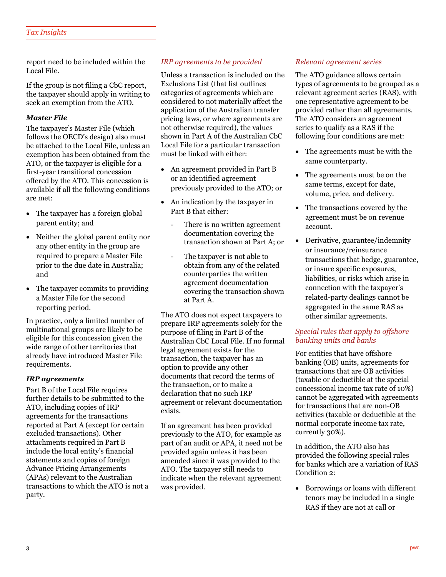report need to be included within the Local File.

If the group is not filing a CbC report, the taxpayer should apply in writing to seek an exemption from the ATO.

#### *Master File*

The taxpayer's Master File (which follows the OECD's design) also must be attached to the Local File, unless an exemption has been obtained from the ATO, or the taxpayer is eligible for a first-year transitional concession offered by the ATO. This concession is available if all the following conditions are met:

- The taxpayer has a foreign global parent entity; and
- Neither the global parent entity nor any other entity in the group are required to prepare a Master File prior to the due date in Australia; and
- The taxpayer commits to providing a Master File for the second reporting period.

In practice, only a limited number of multinational groups are likely to be eligible for this concession given the wide range of other territories that already have introduced Master File requirements.

#### *IRP agreements*

Part B of the Local File requires further details to be submitted to the ATO, including copies of IRP agreements for the transactions reported at Part A (except for certain excluded transactions). Other attachments required in Part B include the local entity's financial statements and copies of foreign Advance Pricing Arrangements (APAs) relevant to the Australian transactions to which the ATO is not a party.

#### *IRP agreements to be provided*

Unless a transaction is included on the Exclusions List (that list outlines categories of agreements which are considered to not materially affect the application of the Australian transfer pricing laws, or where agreements are not otherwise required), the values shown in Part A of the Australian CbC Local File for a particular transaction must be linked with either:

- An agreement provided in Part B or an identified agreement previously provided to the ATO; or
- An indication by the taxpayer in Part B that either:
	- There is no written agreement documentation covering the transaction shown at Part A; or
	- The taxpayer is not able to obtain from any of the related counterparties the written agreement documentation covering the transaction shown at Part A.

The ATO does not expect taxpayers to prepare IRP agreements solely for the purpose of filing in Part B of the Australian CbC Local File. If no formal legal agreement exists for the transaction, the taxpayer has an option to provide any other documents that record the terms of the transaction, or to make a declaration that no such IRP agreement or relevant documentation exists.

If an agreement has been provided previously to the ATO, for example as part of an audit or APA, it need not be provided again unless it has been amended since it was provided to the ATO. The taxpayer still needs to indicate when the relevant agreement was provided.

#### *Relevant agreement series*

The ATO guidance allows certain types of agreements to be grouped as a relevant agreement series (RAS), with one representative agreement to be provided rather than all agreements. The ATO considers an agreement series to qualify as a RAS if the following four conditions are met:

- The agreements must be with the same counterparty.
- The agreements must be on the same terms, except for date, volume, price, and delivery.
- The transactions covered by the agreement must be on revenue account.
- Derivative, guarantee/indemnity or insurance/reinsurance transactions that hedge, guarantee, or insure specific exposures, liabilities, or risks which arise in connection with the taxpayer's related-party dealings cannot be aggregated in the same RAS as other similar agreements.

#### *Special rules that apply to offshore banking units and banks*

For entities that have offshore banking (OB) units, agreements for transactions that are OB activities (taxable or deductible at the special concessional income tax rate of 10%) cannot be aggregated with agreements for transactions that are non-OB activities (taxable or deductible at the normal corporate income tax rate, currently 30%).

In addition, the ATO also has provided the following special rules for banks which are a variation of RAS Condition 2:

 Borrowings or loans with different tenors may be included in a single RAS if they are not at call or